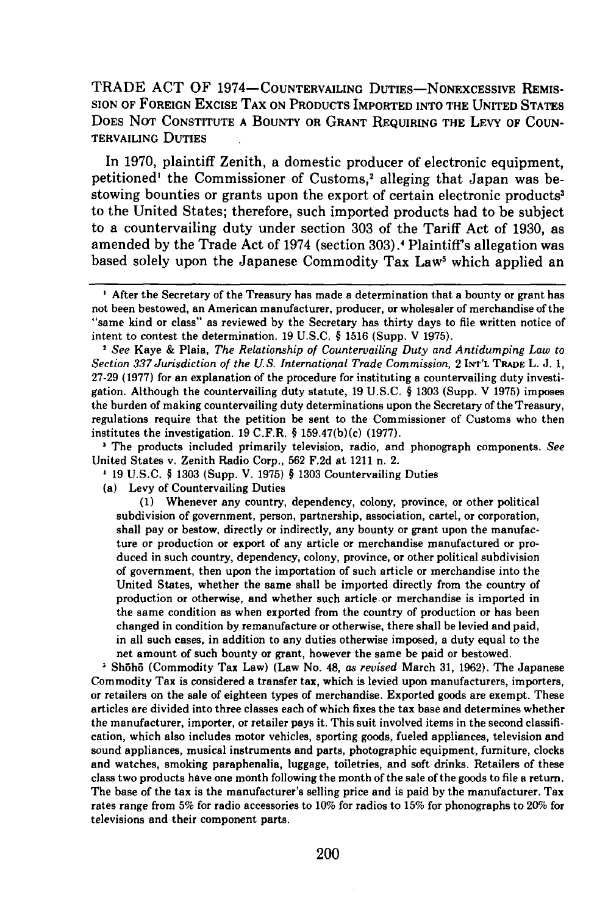TRADE **ACT** OF 1974- COUNTERVAILING DUTIEs-NONEXCESSIVE REMIS-**SION** OF **FOREIGN EXCISE** TAX **ON PRODUCTS** IMPORTED INTO THE **UNITED STATES** DOES **NOT CONSTITUTE A** BOUNTY OR GRANT REQUIRING THE LEVY OF **COUN-**TERVAILING **DUTIES**

In **1970,** plaintiff Zenith, a domestic producer of electronic equipment, petitioned' the Commissioner of Customs,<sup>2</sup> alleging that Japan was bestowing bounties or grants upon the export of certain electronic products<sup>3</sup> to the United States; therefore, such imported products had to be subject to a countervailing duty under section **303** of the Tariff Act of **1930,** as amended **by** the Trade Act of 1974 (section **303).1** Plaintiff's allegation was based solely upon the Japanese Commodity Tax Law<sup>5</sup> which applied an

*See* Kaye **&** Plaia, *The Relationship of Countervailing Duty and Antidumping Law to Section 337 Jurisdiction of the US. International Trade Commission,* 2 **INT'L** TR.A L. **J. 1, 27-29 (1977)** for an explanation of the procedure for instituting a countervailing duty investigation. Although the countervailing duty statute, **19 U.S.C.** § **1303** (Supp. V **1975)** imposes the burden of making countervailing duty determinations upon the Secretary of the Treasury, regulations require that the petition be sent to the Commissioner of Customs who then institutes the investigation. **19** C.F.R. § 159.47(b)(c) **(1977).**

The products included primarily television, radio, and phonograph components. *See* United States v. Zenith Radio Corp., **562 F.2d** at 1211 n. 2.

**1 19 U.S.C.** § **1303** (Supp. V. **1975)** § **1303** Countervailing Duties

(a) Levy of Countervailing Duties

**(1)** Whenever any country, dependency, colony, province, or other political subdivision of government, person, partnership, association, cartel, or corporation, shall pay or bestow, directly or indirectly, any bounty or grant upon the manufacture or production or export of any article or merchandise manufactured or produced in such country, dependency, colony, province, or other political subdivision of government, then upon the importation of such article or merchandise into the United States, whether the same shall be imported directly from the country of production or otherwise, and whether such article or merchandise is imported in the same condition as when exported from the country of production or has been changed in condition **by** remanufacture or otherwise, there shall be levied and paid, in all such cases, in addition to any duties otherwise imposed, a duty equal to the net amount of such bounty or grant, however the same be paid or bestowed.

**Sh~h5** (Commodity Tax Law) (Law No. 48, *as revised* March **31, 1962).** The Japanese Commodity Tax is considered a transfer tax, which is levied upon manufacturers, importers, or retailers on the sale of eighteen types of merchandise. Exported goods are exempt. These articles are divided into three classes each of which fixes the tax base and determines whether the manufacturer, importer, or retailer pays it. This suit involved items in the second classification, which also includes motor vehicles, sporting goods, fueled appliances, television and sound appliances, musical instruments and parts, photographic equipment, furniture, clocks and watches, smoking paraphenalia, luggage, toiletries, and soft drinks. Retailers of these class two products have one month following the month of the sale of the goods to file a return. The base of the tax is the manufacturer's selling price and is paid **by** the manufacturer. Tax rates range from **5%** for radio accessories to **10%** for radios to **15%** for phonographs to 20% for televisions and their component parts.

After the Secretary of the Treasury has made a determination that a bounty or grant has not been bestowed, an American manufacturer, producer, or wholesaler of merchandise of the "same kind or class" as reviewed **by** the Secretary has thirty days to file written notice of intent to contest the determination. **19 U.S.C.** § **1516** (Supp. V **1975).**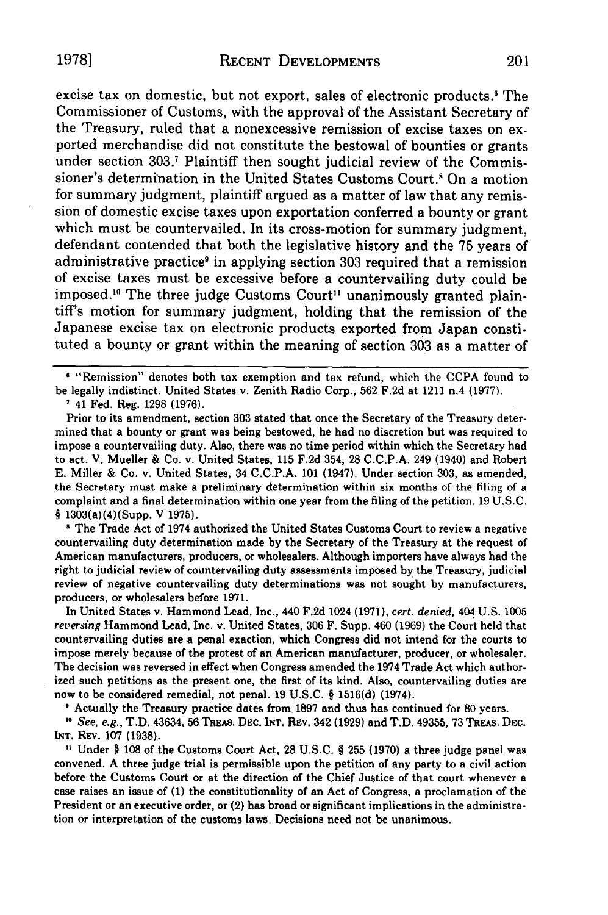excise tax on domestic, but not export, sales of electronic products.' The Commissioner of Customs, with the approval of the Assistant Secretary of the Treasury, ruled that a nonexcessive remission of excise taxes on exported merchandise did not constitute the bestowal of bounties or grants under section **303.1** Plaintiff then sought judicial review of the Commissioner's determination in the United States Customs Court.<sup>8</sup> On a motion for summary judgment, plaintiff argued as a matter of law that any remission of domestic excise taxes upon exportation conferred a bounty or grant which must be countervailed. In its cross-motion for summary judgment, defendant contended that both the legislative history and the 75 years of administrative practice<sup>9</sup> in applying section 303 required that a remission of excise taxes must be excessive before a countervailing duty could be imposed.<sup>16</sup> The three judge Customs Court<sup>11</sup> unanimously granted plaintiff's motion for summary judgment, holding that the remission of the Japanese excise tax on electronic products exported from Japan constituted a bounty or grant within the meaning of section 303 as a matter of

**I** "Remission" denotes both tax exemption and tax refund, which the CCPA found to be legally indistinct. United States v. Zenith Radio Corp., 562 F.2d at 1211 n.4 (1977).

**1** 41 Fed. Reg. 1298 (1976).

Prior to its amendment, section 303 stated that once the Secretary of the Treasury determined that a bounty or grant was being bestowed, he had no discretion but was required to impose a countervailing duty. Also, there was no time period within which the Secretary had to act. V. Mueller & Co. v. United States, 115 F.2d 354, 28 C.C.P.A. 249 (1940) and Robert E. Miller & Co. v. United States, 34 C.C.P.A. 101 (1947). Under section 303, as amended, the Secretary must make a preliminary determination within six months of the filing of a complaint and a final determination within one year from the filing of the petition. 19 U.S.C. § 1303(a)(4)(Supp. V 1975).

The Trade Act of 1974 authorized the United States Customs Court to review a negative countervailing duty determination made by the Secretary of the Treasury at the request of American manufacturers, producers, or wholesalers. Although importers have always had the right to judicial review of countervailing duty assessments imposed by the Treasury, judicial review of negative countervailing duty determinations was not sought by manufacturers, producers, or wholesalers before 1971.

In United States v. Hammond Lead, Inc., 440 F.2d 1024 (1971), *cert. denied,* 404 U.S. 1005 *reversing* Hammond Lead, Inc. v. United States, 306 F. Supp. 460 (1969) the Court held that countervailing duties are a penal exaction, which Congress did not intend for the courts to impose merely because of the protest of an American manufacturer, producer, or wholesaler. The decision was reversed in effect when Congress amended the 1974 Trade Act which authorized such petitions as the present one, the first of its kind. Also, countervailing duties are now to be considered remedial, not penal. 19 U.S.C. § 1516(d) (1974).

Actually the Treasury practice dates from 1897 and thus has continued for 80 years.

*,' See, e.g.,* T.D. 43634, 56 TREAs. **DEC. INT.** REV. 342 (1929) and T.D. 49355, 73 TREAs. DEC. **INT. REV.** 107 (1938).

**1** Under § 108 of the Customs Court Act, 28 U.S.C. § 255 (1970) a three judge panel was convened. **A** three judge trial is permissible upon the petition of any party to a civil action before the Customs Court or at the direction of the Chief Justice of that court whenever a case raises an issue of (1) the constitutionality of an Act of Congress, a proclamation of the President or an executive order, or (2) has broad or significant implications in the administration or interpretation of the customs laws. Decisions need not be unanimous.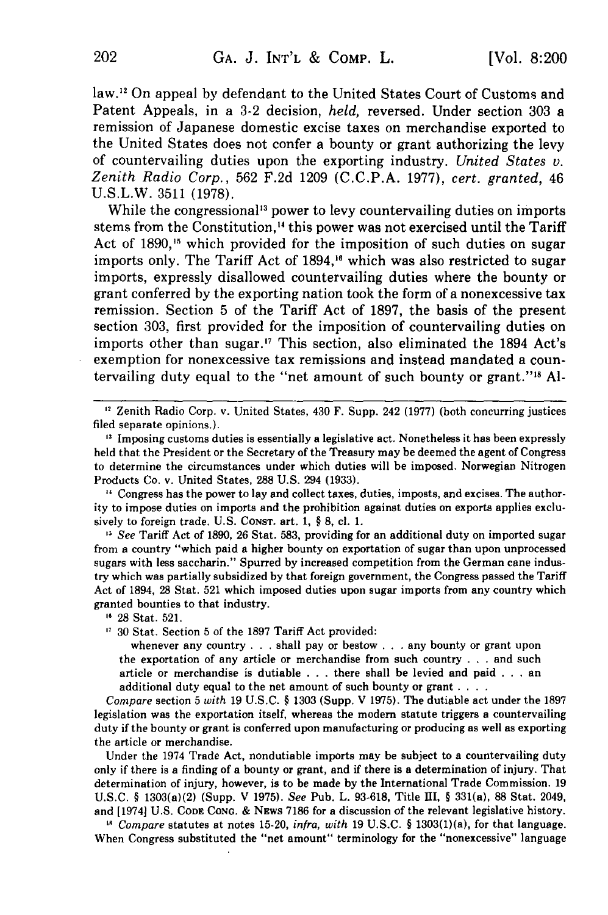law.'2 On appeal by defendant to the United States Court of Customs and Patent Appeals, in a 3-2 decision, *held,* reversed. Under section 303 a remission of Japanese domestic excise taxes on merchandise exported to the United States does not confer a bounty or grant authorizing the levy of countervailing duties upon the exporting industry. *United States v. Zenith Radio Corp.,* 562 F.2d 1209 (C.C.P.A. 1977), *cert. granted,* 46 U.S.L.W. 3511 (1978).

While the congressional<sup>13</sup> power to levy countervailing duties on imports stems from the Constitution,<sup>14</sup> this power was not exercised until the Tariff Act of **1890,'5** which provided for the imposition of such duties on sugar imports only. The Tariff Act of  $1894<sup>16</sup>$  which was also restricted to sugar imports, expressly disallowed countervailing duties where the bounty or grant conferred by the exporting nation took the form of a nonexcessive tax remission. Section 5 of the Tariff Act of 1897, the basis of the present section 303, first provided for the imposition of countervailing duties on imports other than sugar." This section, also eliminated the 1894 Act's exemption for nonexcessive tax remissions and instead mandated a countervailing duty equal to the "net amount of such bounty or grant."'8 **Al-**

**"** Zenith Radio Corp. v. United States, 430 F. Supp. 242 (1977) (both concurring justices filed separate opinions.).

**'1** Imposing customs duties is essentially a legislative act. Nonetheless it has been expressly held that the President or the Secretary of the Treasury may be deemed the agent of Congress to determine the circumstances under which duties will be imposed. Norwegian Nitrogen Products Co. v. United States, 288 U.S. 294 (1933).

**11** Congress has the power to lay and collect taxes, duties, imposts, and excises. The authority to impose duties on imports and the prohibition against duties on exports applies exclusively to foreign trade. U.S. Const. art. 1, § 8, cl. 1.

*" See* Tariff Act of 1890, 26 Stat. 583, providing for an additional duty on imported sugar from a country "which paid a higher bounty on exportation of sugar than upon unprocessed sugars with less saccharin." Spurred by increased competition from the German cane industry which was partially subsidized by that foreign government, the Congress passed the Tariff Act of 1894, 28 Stat. 521 which imposed duties upon sugar imports from any country which granted bounties to that industry.

**"** 28 Stat. 521.

**'7** 30 Stat. Section 5 of the 1897 Tariff Act provided:

whenever any country  $\ldots$  shall pay or bestow  $\ldots$  any bounty or grant upon the exportation of any article or merchandise from such country . . . and such article or merchandise is dutiable . . . there shall be levied and paid . . . an additional duty equal to the net amount of such bounty or grant **....**

*Compare* section 5 *with* 19 U.S.C. § 1303 (Supp. V 1975). The dutiable act under the 1897 legislation was the exportation itself, whereas the modern statute triggers a countervailing duty if the bounty or grant is conferred upon manufacturing or producing as well as exporting the article or merchandise.

Under the 1974 Trade Act, nondutiable imports may be subject to a countervailing duty only if there is a finding of a bounty or grant, and if there is a determination of injury. That determination of injury, however, is to be made by the International Trade Commission. 19 U.S.C. § 1303(a)(2) (Supp. V 1975). *See* Pub. L. 93-618, Title III, § 331(a), 88 Stat. 2049, and [19741 U.S. **CODE CONG.** & NEws 7186 for a discussion of the relevant legislative history.

*11 Compare* statutes at notes 15-20, *infra, with* 19 U.S.C. § 1303(1)(a), for that language. When Congress substituted the "net amount" terminology for the "nonexcessive" language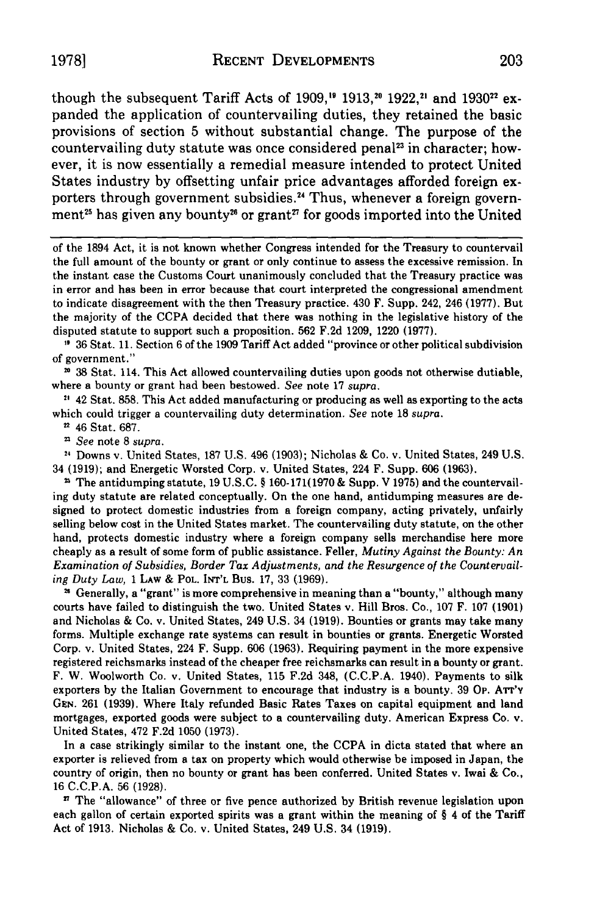though the subsequent Tariff Acts of 1909,<sup>19</sup> 1913,<sup>20</sup> 1922,<sup>21</sup> and 1930<sup>22</sup> expanded the application of countervailing duties, they retained the basic provisions of section 5 without substantial change. The purpose of the countervailing duty statute was once considered penal<sup>23</sup> in character; however, it is now essentially a remedial measure intended to protect United States industry by offsetting unfair price advantages afforded foreign exporters through government subsidies.<sup>24</sup> Thus, whenever a foreign government<sup>25</sup> has given any bounty<sup>26</sup> or grant<sup>27</sup> for goods imported into the United

of the 1894 Act, it is not known whether Congress intended for the Treasury to countervail the full amount of the bounty or grant or only continue to assess the excessive remission. In the instant case the Customs Court unanimously concluded that the Treasury practice was in error and has been in error because that court interpreted the congressional amendment to indicate disagreement with the then Treasury practice. 430 F. Supp. 242, 246 (1977). But the majority of the CCPA decided that there was nothing in the legislative history of the disputed statute to support such a proposition. 562 F.2d 1209, 1220 (1977).

**'** 36 Stat. 11. Section 6 of the 1909 Tariff Act added "province or other political subdivision of government."

**1** 38 Stat. 114. This Act allowed countervailing duties upon goods not otherwise dutiable, where a bounty or grant had been bestowed. *See* note 17 *supra.*

**21** 42 Stat. 858. This Act added manufacturing or producing as well as exporting to the acts which could trigger a countervailing duty determination. *See* note 18 *supra.*

46 Stat. 687.

*z See* note **8** *supra.*

<sup>24</sup> Downs v. United States, 187 U.S. 496 (1903); Nicholas & Co. v. United States, 249 U.S. 34 (1919); and Energetic Worsted Corp. v. United States, 224 F. Supp. 606 (1963).

" The antidumping statute, 19 U.S.C. **§** 160-171(1970 & Supp. V 1975) and the countervailing duty statute are related conceptually. On the one hand, antidumping measures are designed to protect domestic industries from a foreign company, acting privately, unfairly selling below cost in the United States market. The countervailing duty statute, on the other hand, protects domestic industry where a foreign company sells merchandise here more cheaply as a result of some form of public assistance. Feller, *Mutiny Against the Bounty: An Examination of Subsidies, Border Tax Adjustments, and the Resurgence of the Countervailing Duty Law,* 1 LAW **&** POL. INT'L Bus. 17, 33 (1969).

**"** Generally, a "grant" is more comprehensive in meaning than a "bounty," although many courts have failed to distinguish the two. United States v. Hill Bros. Co., 107 F. 107 (1901) and Nicholas & Co. v. United States, 249 U.S. 34 (1919). Bounties or grants may take many forms. Multiple exchange rate systems can result in bounties or grants. Energetic Worsted Corp. v. United States, 224 F. Supp. 606 (1963). Requiring payment in the more expensive registered reichsmarks instead of the cheaper free reichsmarks can result in a bounty or grant. F. W. Woolworth Co. v. United States, 115 F.2d 348, (C.C.P.A. 1940). Payments to silk exporters by the Italian Government to encourage that industry is a bounty. 39 Op. ATT'Y **GEN.** 261 (1939). Where Italy refunded Basic Rates Taxes on capital equipment and land mortgages, exported goods were subject to a countervailing duty. American Express Co. v. United States, 472 F.2d 1050 (1973).

In a case strikingly similar to the instant one, the CCPA in dicta stated that where an exporter is relieved from a tax on property which would otherwise be imposed in Japan, the country of origin, then no bounty or grant has been conferred. United States v. Iwai & Co., 16 C.C.P.A. 56 (1928).

**"** The "allowance" of three or five pence authorized by British revenue legislation upon each gallon of certain exported spirits was a grant within the meaning of § 4 of the Tariff Act of 1913. Nicholas & Co. v. United States, 249 U.S. 34 (1919).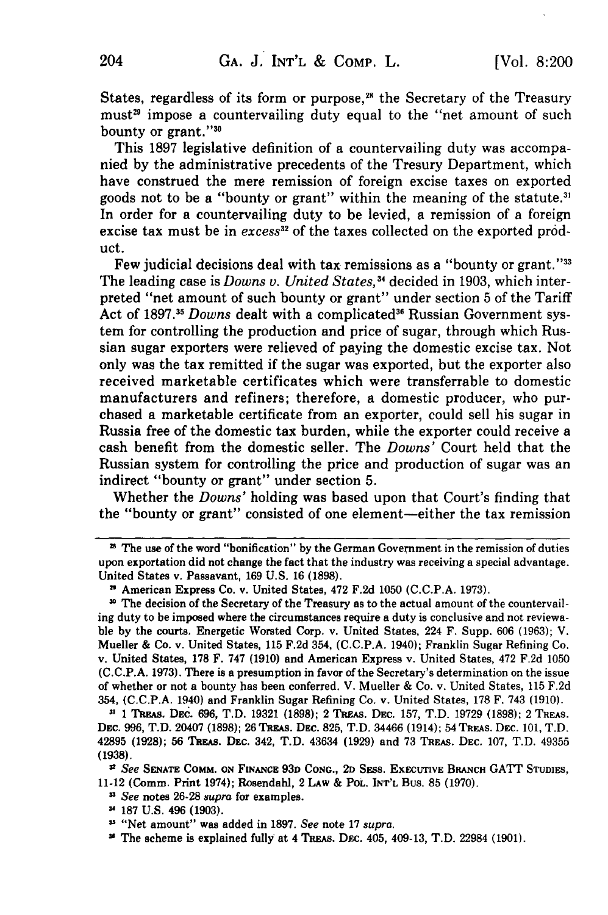States, regardless of its form or purpose,<sup>28</sup> the Secretary of the Treasury must<sup>29</sup> impose a countervailing duty equal to the "net amount of such bounty or grant."30

This 1897 legislative definition of a countervailing duty was accompanied by the administrative precedents of the Tresury Department, which have construed the mere remission of foreign excise taxes on exported goods not to be a "bounty or grant" within the meaning of the statute.<sup>3</sup> In order for a countervailing duty to be levied, a remission of a foreign excise tax must be in *excess<sup>32</sup>* of the taxes collected on the exported product.

..<br>Few judicial decisions deal with tax remissions as a "bounty or grant."<sup>33</sup> The leading case is *Downs v. United States*,<sup>34</sup> decided in 1903, which interpreted "net amount of such bounty or grant" under section 5 of the Tariff Act of 1897.<sup>35</sup> Downs dealt with a complicated<sup>36</sup> Russian Government system for controlling the production and price of sugar, through which Russian sugar exporters were relieved of paying the domestic excise tax. Not only was the tax remitted if the sugar was exported, but the exporter also received marketable certificates which were transferrable to domestic manufacturers and refiners; therefore, a domestic producer, who purchased a marketable certificate from an exporter, could sell his sugar in Russia free of the domestic tax burden, while the exporter could receive a cash benefit from the domestic seller. The *Downs'* Court held that the Russian system for controlling the price and production of sugar was an indirect "bounty or grant" under section 5.

Whether the *Downs'* holding was based upon that Court's finding that the "bounty or grant" consisted of one element-either the tax remission

z The use of the word "bonification" **by** the German Government in the remission of duties upon exportation did not change the fact that the industry was receiving a special advantage. United States v. Passavant, 169 U.S. 16 (1898).

**<sup>&</sup>quot;** American Express Co. v. United States, 472 F.2d 1050 (C.C.P.A. 1973).

**<sup>3</sup>** The decision of the Secretary of the Treasury as to the actual amount of the countervailing duty to be imposed where the circumstances require a duty is conclusive and not reviewable by the courts. Energetic Worsted Corp. v. United States, 224 F. Supp. 606 (1963); V. Mueller & Co. v. United States, 115 F.2d 354, (C.C.P.A. 1940); Franklin Sugar Refining Co. v. United States, **178** F. 747 (1910) and American Express v. United States, 472 F.2d 1050 (C.C.P.A. 1973). There is a presumption in favor of the Secretary's determination on the issue of whether or not a bounty has been conferred. V. Mueller & Co. v. United States, 115 F.2d 354, (C.C.P.A. 1940) and Franklin Sugar Refining Co. v. United States, 178 F. 743 (1910).

**<sup>3</sup> 1** Tapas. DEC. 696, T.D. 19321 **(1898);** 2 Ta&As. **DEC.** 157, T.D. 19729 (1898); 2 **TREAS.** DEC. 996, T.D. 20407 (1898); 26 TREAS. DEC. 825, T.D. 34466 (1914); 54 TREAS. DEC. 101, T.D. 42895 (1928); 56 TEA.s. DEC. 342, T.D. 43634 (1929) and 73 **TREAS.** DEC. 107, T.D. 49355 (1938).

*<sup>12</sup> See* **SENATE** COMM. **ON FiNANCE 93D CONG., 2D** SEss. **EXECUTIVE** BRANCH GATT **STUDIES,** 11-12 (Comm. Print 1974); Rosendahl, 2 LAw **&** *PoL.* **INT'L** Bus. **85 (1970).**

**<sup>3</sup>***See* notes **26-28** *supra* for examples.

**<sup>-,</sup> 187 U.S.** 496 **(1903).**

**<sup>11</sup>** "Net amount" was added in **1897.** *See* note **17 supra.**

**<sup>&#</sup>x27;** The scheme is explained fully at 4 TREAs. DEC. 405, 409-13, T.D. 22984 **(1901).**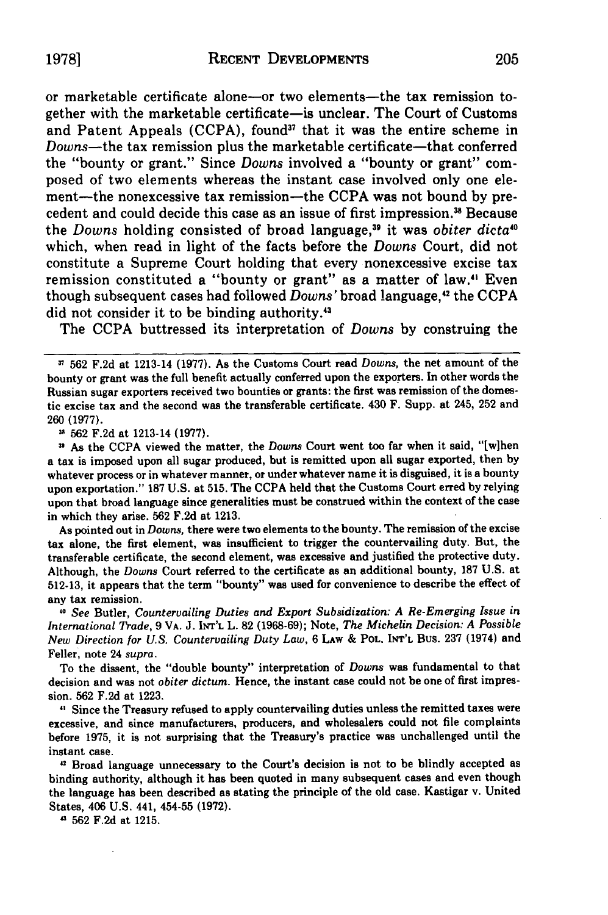or marketable certificate alone-or two elements-the tax remission together with the marketable certificate-is unclear. The Court of Customs and Patent Appeals (CCPA), found<sup>37</sup> that it was the entire scheme in Downs-the tax remission plus the marketable certificate-that conferred the "bounty or grant." Since *Downs* involved a "bounty or grant" composed of two elements whereas the instant case involved only one element-the nonexcessive tax remission-the CCPA was not bound by precedent and could decide this case as an issue of first impression.<sup>38</sup> Because the *Downs* holding consisted of broad language,<sup>39</sup> it was *obiter dicta<sup>40</sup>* which, when read in light of the facts before the *Downs* Court, did not constitute a Supreme Court holding that every nonexcessive excise tax remission constituted a "bounty or grant" as a matter of law." Even though subsequent cases had followed *Downs'* broad language,<sup>42</sup> the CCPA did not consider it to be binding authority.'<sup>3</sup>

The CCPA buttressed its interpretation of *Downs* by construing the

**562 F.2d** at 1213-14 **(1977).**

**"** As the CCPA viewed the matter, the *Downs* Court went too far when it said, "[w]hen a tax is imposed upon all sugar produced, but is remitted upon all sugar exported, then **by** whatever process or in whatever manner, or under whatever name it is disguised, it is a bounty upon exportation." **187 U.S.** at **515.** The **CCPA** held that the Customs Court erred **by** relying upon that broad language since generalities must be construed within the context of the case in which they arise. **562 F.2d** at **1213.**

As pointed out in *Downs,* there were two elements to the bounty. The remission of the excise tax alone, the first element, was insufficient to trigger the countervailing duty. But, the transferable certificate, the second element, was excessive and justified the protective duty. Although, the *Downs* Court referred to the certificate as an additional bounty, **187 U.S.** at **512-13,** it appears that the term "bounty" was used for convenience to describe the effect of any tax remission.

**,0** See Butler, *Countervailing Duties and Export Subsidization: A Re-Emerging Issue in International Trade,* **9** VA. **J. INT'L L. 82 (1968-69);** Note, *The Michelin Decision: A Possible New Direction for U.S. Countervailing Duty Law,* **6 LAW &** POL. INT'L Bus. **237** (1974) and Feller, note 24 *supra.*

To the dissent, the "double bounty" interpretation of *Downs* was fundamental to that decision and was not *obiter dictum.* Hence, the instant case could not be one of first impression. **562 F.2d** at **1223.**

*"* Since the Treasury refused to apply countervailing duties unless the remitted taxes were excessive, and since manufacturers, producers, and wholesalers could not file complaints before **1975, it** is not surprising that the Treasury's practice was unchallenged until the instant case.

**,1** Broad language unnecessary **to** the Court's decision is not to be blindly accepted as binding authority, although it has been quoted in many subsequent cases and even though the language has been described as stating the principle of the old case. Kastigar v. United States, 406 **U.S.** 441, 454-55 **(1972).**

4 **562 F.2d** at **1215.**

**19781**

**<sup>1 562</sup> F.2d** at 1213-14 **(1977).** As the Customs Court read *Downs,* the net amount of the bounty or grant was the full benefit actually conferred upon the exporters. In other words the Russian sugar exporters received two bounties or grants: the first was remission of the domestic excise tax and the second was the transferable certificate. 430 F. Supp. at 245, **252** and **260 (1977).**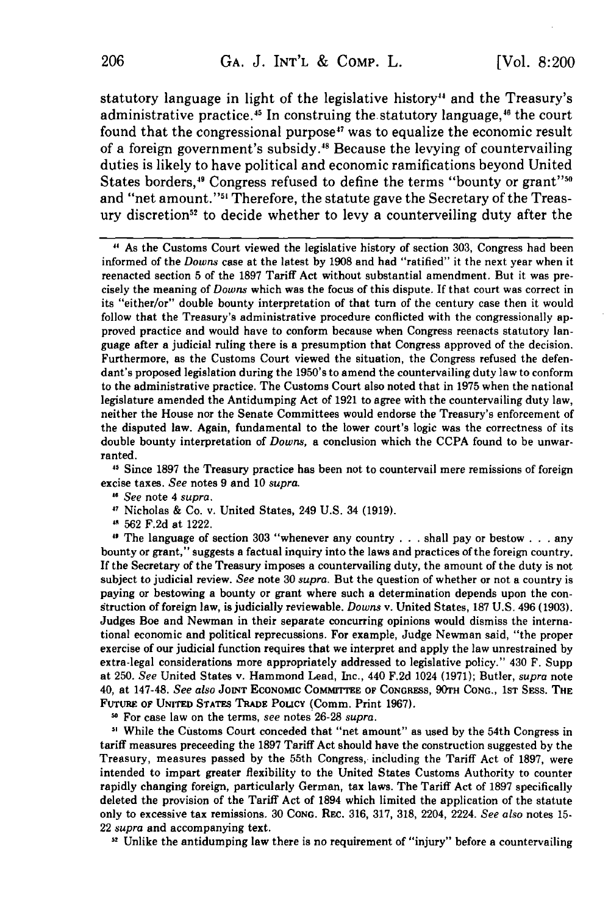statutory language in light of the legislative history" and the Treasury's administrative practice.<sup>45</sup> In construing the statutory language,<sup>46</sup> the court found that the congressional purpose<sup>47</sup> was to equalize the economic result of a foreign government's subsidy." Because the levying of countervailing duties is likely to have political and economic ramifications beyond United States borders,<sup>49</sup> Congress refused to define the terms "bounty or grant"<sup>56</sup> and "net amount."<sup>51</sup> Therefore, the statute gave the Secretary of the Treasury discretion<sup>52</sup> to decide whether to levy a counterveiling duty after the

**"** As the Customs Court viewed the legislative history of section 303, Congress had been informed of the *Downs* case at the latest **by 1908** and had "ratified" it the next year when it reenacted section 5 of the **1897** Tariff Act without substantial amendment. But it was precisely the meaning of *Downs* which was the focus of this dispute. If that court was correct in its "either/or" double bounty interpretation of that turn of the century case then it would follow that the Treasury's administrative procedure conflicted with the congressionally approved practice and would have to conform because when Congress reenacts statutory language after a judicial ruling there is a presumption that Congress approved of the decision. Furthermore, as the Customs Court viewed the situation, the Congress refused the defendant's proposed legislation during the 1950's to amend the countervailing duty law to conform to the administrative practice. The Customs Court also noted that in **1975** when the national legislature amended the Antidumping Act of **1921** to agree with the countervailing duty law, neither the House nor the Senate Committees would endorse the Treasury's enforcement of the disputed law. Again, fundamental to the lower court's logic was the correctness of its double bounty interpretation of *Downs,* a conclusion which the **CCPA** found to be unwarranted.

**11** Since **1897** the Treasury practice has been not to countervail mere remissions of foreign excise taxes. *See* notes **9** and **10** *supra.*

Nicholas **&** Co. v. United States, 249 **U.S.** 34 **(1919).**

**' 562 F.2d** at 1222.

The language of section **303** "whenever any country **...** shall pay or bestow **. .** . any bounty or grant," suggests a factual inquiry into the laws and practices of the foreign country. **If** the Secretary of the Treasury imposes a countervailing duty, the amount of the duty is not subject to judicial review. *See* note **30** *supra.* But the question of whether or not a country is paying or bestowing a bounty or grant where such a determination depends upon the construction of foreign law, is judicially reviewable. *Downs* v. United States, **187 U.S.** 496 **(1903).** Judges **Boe** and Newman in their separate concurring opinions would dismiss the international economic and political reprecussions. For example, Judge Newman said, "the proper exercise of our judicial function requires that we interpret and apply the law unrestrained **by** extra-legal considerations more appropriately addressed to legislative policy." 430 F. Supp at **250.** *See* United States v. Hammond Lead, Inc., 440 **F.2d** 1024 **(1971);** Butler, *supra* note 40, at 147-48. *See also* **JOINT ECONOMIC COMMITTEE** OF **CONGRESS, 90TH CONG.,** lST SEss. **THE FUTURE** OF **UNITED** STATES **TRADE** PoucY (Comm. Print 1967).

**11** For case law on the terms, *see* notes **26-28** *supra.*

**3'** While the Customs Court conceded that "net amount" as used **by** the 54th Congress in tariff measures preceeding the **1897** Tariff Act should have the construction suggested **by** the Treasury, measures passed **by** the 55th Congress, including the Tariff Act of **1897,** were intended to impart greater flexibility to the United States Customs Authority to counter rapidly changing foreign, particularly German, tax laws. The Tariff Act of **1897** specifically deleted the provision of the Tariff Act of 1894 which limited the application of the statute only to excessive tax remissions. **30 CONG.** REc. **316, 317, 318,** 2204, 2224. *See also* notes **15-** 22 *supra* **and accompanying text.**

<sup>52</sup> Unlike the antidumping law there is no requirement of "injury" before a countervailing

*<sup>11</sup> See* note 4 *supra.*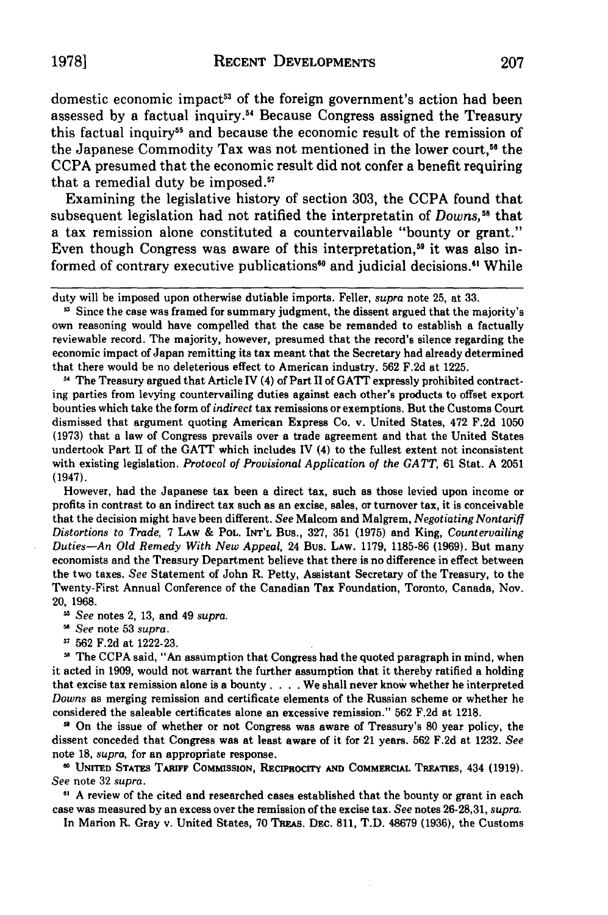domestic economic impact<sup>53</sup> of the foreign government's action had been assessed by a factual inquiry.<sup>54</sup> Because Congress assigned the Treasury this factual inquiry<sup>55</sup> and because the economic result of the remission of the Japanese Commodity Tax was not mentioned in the lower court,<sup>56</sup> the CCPA presumed that the economic result did not confer a benefit requiring that a remedial duty be imposed.57

Examining the legislative history of section 303, the CCPA found that subsequent legislation had not ratified the interpretatin of  $Downs$ ,<sup>58</sup> that a tax remission alone constituted a countervailable "bounty or grant." Even though Congress was aware of this interpretation,<sup>59</sup> it was also informed of contrary executive publications<sup>60</sup> and judicial decisions.<sup>61</sup> While

**"** The Treasury argued that Article IV (4) of Part II of GATT expressly prohibited contracting parties from levying countervailing duties against each other's products to offset export bounties which take the form of *indirect* tax remissions or exemptions. But the Customs Court dismissed that argument quoting American Express Co. v. United States, 472 F.2d 1050 (1973) that a law of Congress prevails over a trade agreement and that the United States undertook Part **II** of the GATT which includes IV (4) to the fullest extent not inconsistent with existing legislation. *Protocol of Provisional Application of the GATT,* 61 Stat. A 2051 (1947).

However, had the Japanese tax been a direct tax, such as those levied upon income or profits in contrast to an indirect tax such as an excise, sales, or turnover tax, it is conceivable that the decision might have been different. *See* Malcom and Malgrem, *Negotiating Nontariff Distortions to Trade,* 7 LAW **&** POL. **INT'L** Bus., 327, 351 (1975) and King, *Countervailing Duties-An Old Remedy With New Appeal,* 24 Bus. LAW. 1179, 1185-86 **(1969).** But many economists and the Treasury Department believe that there is no difference in effect between the two taxes. *See* Statement of John R. Petty, Assistant Secretary of the Treasury, to the Twenty-First Annual Conference of the Canadian Tax Foundation, Toronto, Canada, Nov. 20, 1968.

*See* notes 2, 13, and 49 *supra.*

*5' See* note 53 *supra.*

'7 562 F.2d at 1222-23.

The CCPA said, "An assumption that Congress had the quoted paragraph in mind, when it acted in 1909, would not warrant the further assumption that it thereby ratified a holding that excise tax remission alone is a bounty. . **.** .We shall never know whether he interpreted *Downs* as merging remission and certificate elements of the Russian scheme or whether he considered the saleable certificates alone an excessive remission." 562 F.2d at 1218.

**-"** On the issue of whether or not Congress was aware of Treasury's 80 year policy, the dissent conceded that Congress was at least aware of it for 21 years. **562** F.2d at 1232. *See* note 18, *supra,* for an appropriate response.

**" UNITED STATES** TARIFF **COMMISSION,** RECIPROCITY **AND COMMERCIAL TREATIES,** 434 **(1919).** *See* note **32** *supra.*

**11 A** review of the cited and researched cases established that the bounty or grant in each case was measured **by** an excess over the remission of the excise tax. *See* notes **26-28,31,** *supra.*

In Marion R. Gray v. United States, 70 TREAS. DEC. 811, T.D. 48679 (1936), the Customs

duty will be imposed upon otherwise dutiable imports. Feller, *supra* note 25, at 33.

<sup>&</sup>lt;sup>5</sup> Since the case was framed for summary judgment, the dissent argued that the majority's own reasoning would have compelled that the case be remanded to establish a factually reviewable record. The majority, however, presumed that the record's silence regarding the economic impact of Japan remitting its tax meant that the Secretary had already determined that there would be no deleterious effect to American industry. 562 F.2d at 1225.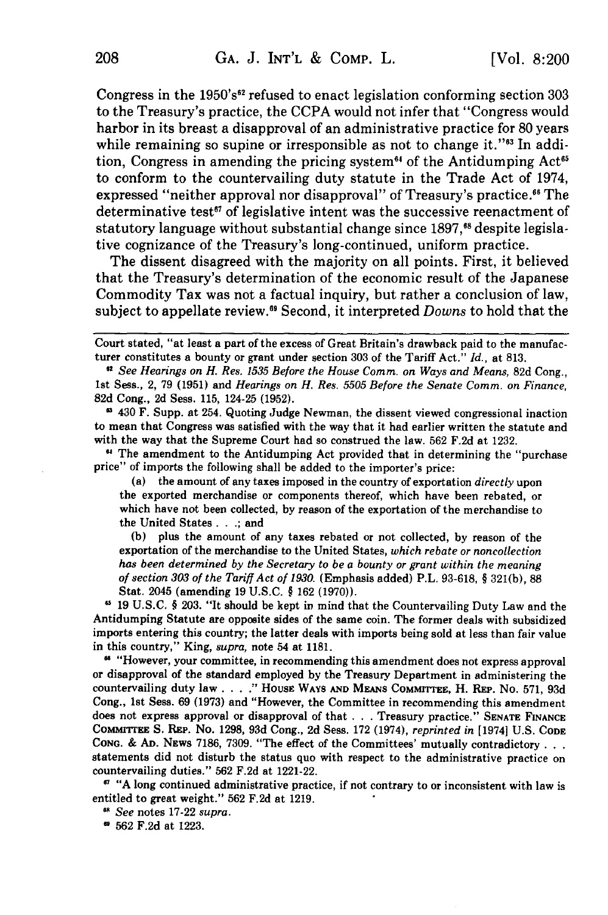Congress in the  $1950's<sup>62</sup>$  refused to enact legislation conforming section 303 to the Treasury's practice, the CCPA would not infer that "Congress would harbor in its breast a disapproval of an administrative practice for 80 years while remaining so supine or irresponsible as not to change it." $\omega$  In addition, Congress in amending the pricing system<sup> $64$ </sup> of the Antidumping Act<sup> $65$ </sup> to conform to the countervailing duty statute in the Trade Act of 1974, expressed "neither approval nor disapproval" of Treasury's practice.<sup>66</sup> The determinative test<sup>67</sup> of legislative intent was the successive reenactment of statutory language without substantial change since 1897,<sup>68</sup> despite legislative cognizance of the Treasury's long-continued, uniform practice.

The dissent disagreed with the majority on all points. First, it believed that the Treasury's determination of the economic result of the Japanese Commodity Tax was not a factual inquiry, but rather a conclusion of law, subject to appellate review. 9 Second, it interpreted *Downs* to hold that the

Court stated, "at least a part of the excess of Great Britain's drawback paid to the manufacturer constitutes a bounty or grant under section 303 of the Tariff Act." *Id.,* at 813.

*61 See Hearings on H. Res. 1535 Before the House Comm. on Ways and Means,* 82d Cong., 1st Sess., 2, 79 (1951) and *Hearings on H. Res. 5505 Before the Senate Comm. on Finance,* 82d Cong., 2d Sess. 115, 124-25 (1952).

**1** 430 F. Supp. at 254. Quoting Judge Newman, the dissent viewed congressional inaction to mean that Congress was satisfied with the way that it had earlier written the statute and with the way that the Supreme Court had so construed the law. 562 F.2d at 1232.

**"** The amendment to the Antidumping Act provided that in determining the "purchase price" of imports the following shall be added to the importer's price:

(a) the amount of any taxes imposed in the country of exportation *directly* upon the exported merchandise or components thereof, which have been rebated, or which have not been collected, by reason of the exportation of the merchandise to the United States...; and

(b) plus the amount of any taxes rebated or not collected, by reason of the exportation of the merchandise to the United States, *which rebate or noncollection has* been determined by the Secretary to be a *bounty or grant within the meaning* of section *303 of the Tariff Act of 1930.* (Emphasis added) P.L. 93-618, § 321(b), 88 Stat. 2045 (amending 19 U.S.C. § 162 (1970)).

19 U.S.C. § 203. "It should be kept in mind that the Countervailing Duty Law and the Antidumping Statute are opposite sides of the same coin. The former deals with subsidized imports entering this country; the latter deals with imports being sold at less than fair value in this country," King, *supra,* note 54 at 1181.

**"** "However, your committee, in recommending this amendment does not express approval or disapproval of the standard employed by the Treasury Department in administering the countervailing duty law **.... "** HousE WAYS **AND** MEANS COMMITTEE, H. REP. No. 571, 93d Cong., 1st Sess. 69 (1973) and "However, the Committee in recommending this amendment does not express approval or disapproval of that **. .** . Treasury practice." **SENATE FINANCE** CoMmdlrrrzE S. **REP.** No. 1298, 93d Cong., 2d Sess. 172 (1974), *reprinted in* [1974] U.S. **CODE CONG.** & **AD.** NEws 7186, 7309. "The effect of the Committees' mutually contradictory... statements did not disturb the status quo with respect to the administrative practice on countervailing duties." 562 F.2d at 1221-22.

**61** "A long continued administrative practice, if not contrary to or inconsistent with law is entitled to great weight." 562 F.2d at 1219.

*6 See* notes 17-22 *supra.*

**0** 562 F.2d at 1223.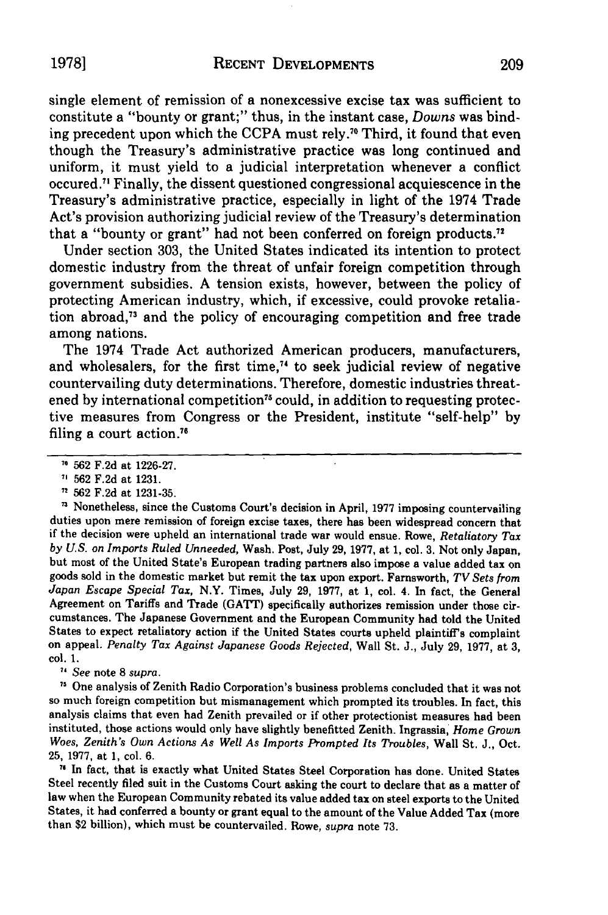single element of remission of a nonexcessive excise tax was sufficient to constitute a "bounty or grant;" thus, in the instant case, *Downs* was binding precedent upon which the CCPA must rely."0 Third, it found that even though the Treasury's administrative practice was long continued and uniform, it must yield to a judicial interpretation whenever a conflict occured.71 Finally, the dissent questioned congressional acquiescence in the Treasury's administrative practice, especially in light of the 1974 Trade Act's provision authorizing judicial review of the Treasury's determination that a "bounty or grant" had not been conferred on foreign products."

Under section 303, the United States indicated its intention to protect domestic industry from the threat of unfair foreign competition through government subsidies. A tension exists, however, between the policy of protecting American industry, which, if excessive, could provoke retaliation abroad, $73$  and the policy of encouraging competition and free trade among nations.

The 1974 Trade Act authorized American producers, manufacturers, and wholesalers, for the first time,<sup>74</sup> to seek judicial review of negative countervailing duty determinations. Therefore, domestic industries threatened by international competition<sup>75</sup> could, in addition to requesting protective measures from Congress or the President, institute "self-help" by filing a court action."'

**'3** Nonetheless, since the Customs Court's decision in April, 1977 imposing countervailing duties upon mere remission of foreign excise taxes, there has been widespread concern that if the decision were upheld an international trade war would ensue. Rowe, *Retaliatory Tax by U.S. on Imports* Ruled *Unneeded,* Wash. Post, July 29, 1977, at 1, col. 3. Not only Japan, but most of the United State's European trading partners also impose a value added tax on goods sold in the domestic market but remit the tax upon export. Farnsworth, *TV Sets from Japan Escape Special Tax,* N.Y. Times, July 29, 1977, at 1, col. 4. In fact, the General Agreement on Tariffs and Trade (GATT) specifically authorizes remission under those circumstances. The Japanese Government and the European Community had told the United States to expect retaliatory action if the United States courts upheld plaintiff's complaint on appeal. *Penalty Tax Against Japanese Goods Rejected,* Wall St. J., July 29, 1977, at 3, col. 1.

*7, See* note 8 *supra.*

**"** One analysis of Zenith Radio Corporation's business problems concluded that it was not so much foreign competition but mismanagement which prompted its troubles. In fact, this analysis claims that even had Zenith prevailed or if other protectionist measures had been instituted, those actions would only have slightly benefitted Zenith. Ingrassia, *Home Grown Woes, Zenith's Own Actions As Well As Imports Prompted Its Troubles,* Wall St. J., Oct. 25, 1977, at 1, col. 6.

**11** In fact, that is exactly what United States Steel Corporation has done. United States Steel recently filed suit in the Customs Court asking the court to declare that as a matter of law when the European Community rebated its value added tax on steel exports to the United States, it had conferred a bounty or grant equal to the amount of the Value Added Tax (more than \$2 billion), which must be countervailed. Rowe, *supra* note 73.

**<sup>70</sup>**562 F.2d at 1226-27.

**<sup>&#</sup>x27;** 562 F.2d at 1231.

**<sup>7</sup>** 562 F.2d at 1231-35.